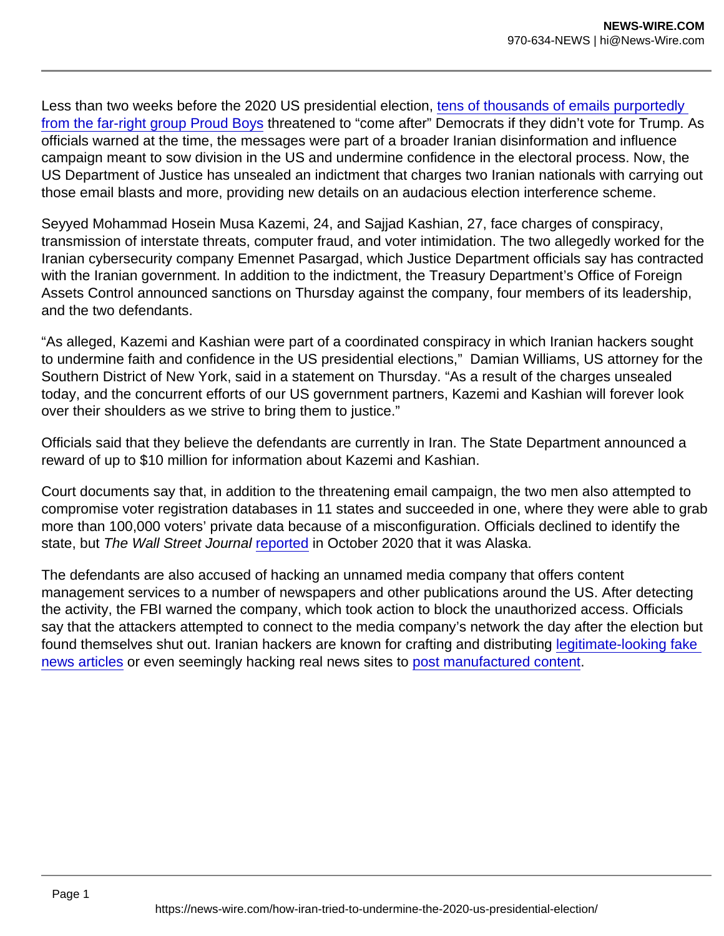Less than two weeks before the 2020 US presidential election, [tens of thousands of emails purportedly](https://www.wired.com/story/odni-russia-iran-2020-election-interference/)  [from the far-right group Proud Boys](https://www.wired.com/story/odni-russia-iran-2020-election-interference/) threatened to "come after" Democrats if they didn't vote for Trump. As officials warned at the time, the messages were part of a broader Iranian disinformation and influence campaign meant to sow division in the US and undermine confidence in the electoral process. Now, the US Department of Justice has unsealed an indictment that charges two Iranian nationals with carrying out those email blasts and more, providing new details on an audacious election interference scheme.

Seyyed Mohammad Hosein Musa Kazemi, 24, and Sajjad Kashian, 27, face charges of conspiracy, transmission of interstate threats, computer fraud, and voter intimidation. The two allegedly worked for the Iranian cybersecurity company Emennet Pasargad, which Justice Department officials say has contracted with the Iranian government. In addition to the indictment, the Treasury Department's Office of Foreign Assets Control announced sanctions on Thursday against the company, four members of its leadership, and the two defendants.

"As alleged, Kazemi and Kashian were part of a coordinated conspiracy in which Iranian hackers sought to undermine faith and confidence in the US presidential elections," Damian Williams, US attorney for the Southern District of New York, said in a statement on Thursday. "As a result of the charges unsealed today, and the concurrent efforts of our US government partners, Kazemi and Kashian will forever look over their shoulders as we strive to bring them to justice."

Officials said that they believe the defendants are currently in Iran. The State Department announced a reward of up to \$10 million for information about Kazemi and Kashian.

Court documents say that, in addition to the threatening email campaign, the two men also attempted to compromise voter registration databases in 11 states and succeeded in one, where they were able to grab more than 100,000 voters' private data because of a misconfiguration. Officials declined to identify the state, but The Wall Street Journal [reported](https://www.wsj.com/articles/iran-probed-state-election-websites-since-september-u-s-says-11604104649) in October 2020 that it was Alaska.

The defendants are also accused of hacking an unnamed media company that offers content management services to a number of newspapers and other publications around the US. After detecting the activity, the FBI warned the company, which took action to block the unauthorized access. Officials say that the attackers attempted to connect to the media company's network the day after the election but found themselves shut out. Iranian hackers are known for crafting and distributing [legitimate-looking fake](https://www.buzzfeednews.com/article/craigsilverman/iran-disinformation-campaign)  [news articles](https://www.buzzfeednews.com/article/craigsilverman/iran-disinformation-campaign) or even seemingly hacking real news sites to [post manufactured content](https://www.thedailybeast.com/pro-iran-trolls-planted-dozens-of-bogus-stories-on-legit-news-sites).